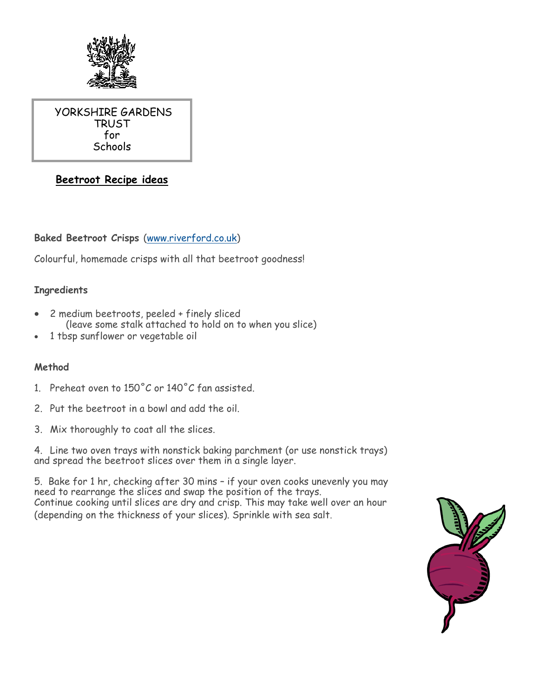

YORKSHIRE GARDENS TRUST for Schools

# **Beetroot Recipe ideas**

## **Baked Beetroot Crisps** ([www.riverford.co.uk\)](http://www.riverford.co.uk)

Colourful, homemade crisps with all that beetroot goodness!

#### **Ingredients**

- 2 medium beetroots, peeled + finely sliced (leave some stalk attached to hold on to when you slice)
- 1 tbsp sunflower or vegetable oil

#### **Method**

- 1. Preheat oven to  $150^{\circ}$ C or  $140^{\circ}$ C fan assisted.
- 2. Put the beetroot in a bowl and add the oil.
- 3. Mix thoroughly to coat all the slices.

4. Line two oven trays with nonstick baking parchment (or use nonstick trays) and spread the beetroot slices over them in a single layer.

5. Bake for 1 hr, checking after 30 mins – if your oven cooks unevenly you may need to rearrange the slices and swap the position of the trays. Continue cooking until slices are dry and crisp. This may take well over an hour (depending on the thickness of your slices). Sprinkle with sea salt.

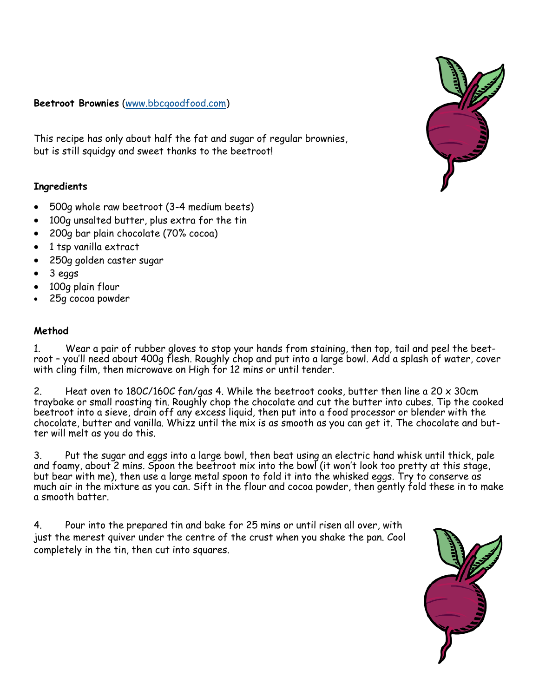#### **Beetroot Brownies** ([www.bbcgoodfood.com\)](http://www.bbcgoodfood.com)

This recipe has only about half the fat and sugar of regular brownies, but is still squidgy and sweet thanks to the beetroot!

#### **Ingredients**

- 500g whole raw beetroot (3-4 medium beets)
- 100g unsalted butter, plus extra for the tin
- 200g bar plain chocolate (70% cocoa)
- 1 tsp vanilla extract
- 250g golden caster sugar
- 3 eggs
- 100g plain flour
- 25g cocoa powder

#### **Method**

1. Wear a pair of rubber gloves to stop your hands from staining, then top, tail and peel the beetroot – you'll need about 400g flesh. Roughly chop and put into a large bowl. Add a splash of water, cover with cling film, then microwave on High for 12 mins or until tender.

2. Heat oven to 180C/160C fan/gas 4. While the beetroot cooks, butter then line a 20  $\times$  30cm traybake or small roasting tin. Roughly chop the chocolate and cut the butter into cubes. Tip the cooked beetroot into a sieve, drain off any excess liquid, then put into a food processor or blender with the chocolate, butter and vanilla. Whizz until the mix is as smooth as you can get it. The chocolate and butter will melt as you do this.

3. Put the sugar and eggs into a large bowl, then beat using an electric hand whisk until thick, pale and foamy, about 2 mins. Spoon the beetroot mix into the bowl (it won't look too pretty at this stage, but bear with me), then use a large metal spoon to fold it into the whisked eggs. Try to conserve as much air in the mixture as you can. Sift in the flour and cocoa powder, then gently fold these in to make a smooth batter.

4. Pour into the prepared tin and bake for 25 mins or until risen all over, with just the merest quiver under the centre of the crust when you shake the pan. Cool completely in the tin, then cut into squares.



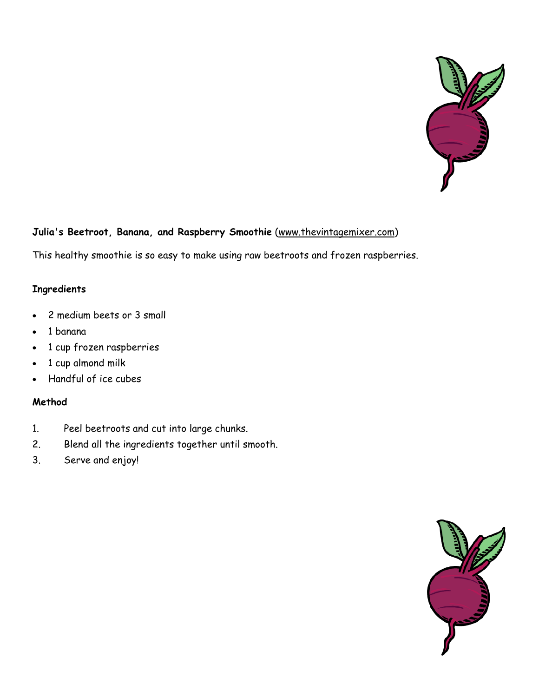

# **Julia's Beetroot, Banana, and Raspberry Smoothie** ([www.thevintagemixer.com\)](http://www.thevintagemixer.com)

This healthy smoothie is so easy to make using raw beetroots and frozen raspberries.

#### **Ingredients**

- 2 medium beets or 3 small
- 1 banana
- 1 cup frozen raspberries
- 1 cup almond milk
- Handful of ice cubes

#### **Method**

- 1. Peel beetroots and cut into large chunks.
- 2. Blend all the ingredients together until smooth.
- 3. Serve and enjoy!